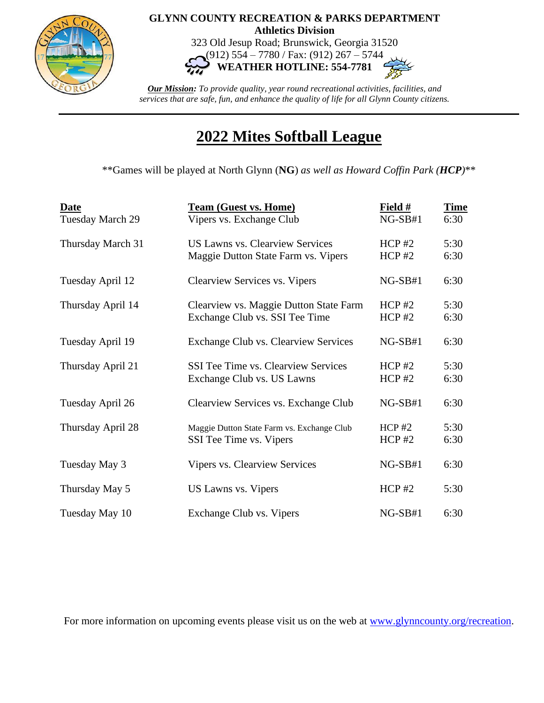

## **GLYNN COUNTY RECREATION & PARKS DEPARTMENT Athletics Division**

323 Old Jesup Road; Brunswick, Georgia 31520 (912) 554 – 7780 / Fax: (912) 267 – 5744

**WEATHER HOTLINE: 554-7781**

*Our Mission: To provide quality, year round recreational activities, facilities, and services that are safe, fun, and enhance the quality of life for all Glynn County citizens.*

## **2022 Mites Softball League**

\*\*Games will be played at North Glynn (**NG**) *as well as Howard Coffin Park (HCP)*\*\*

| <b>Date</b><br>Tuesday March 29 | <b>Team (Guest vs. Home)</b><br>Vipers vs. Exchange Club                      | Field $#$<br>$NG-SB#1$ | <b>Time</b><br>6:30 |
|---------------------------------|-------------------------------------------------------------------------------|------------------------|---------------------|
| Thursday March 31               | <b>US Lawns vs. Clearview Services</b><br>Maggie Dutton State Farm vs. Vipers | $HCP$ #2<br>$HCP$ #2   | 5:30<br>6:30        |
| Tuesday April 12                | <b>Clearview Services vs. Vipers</b>                                          | $NG-SB#1$              | 6:30                |
| Thursday April 14               | Clearview vs. Maggie Dutton State Farm<br>Exchange Club vs. SSI Tee Time      | $HCP$ #2<br>$HCP$ #2   | 5:30<br>6:30        |
| Tuesday April 19                | Exchange Club vs. Clearview Services                                          | $NG-SB#1$              | 6:30                |
| Thursday April 21               | <b>SSI Tee Time vs. Clearview Services</b><br>Exchange Club vs. US Lawns      | $HCP$ #2<br>$HCP$ #2   | 5:30<br>6:30        |
| Tuesday April 26                | Clearview Services vs. Exchange Club                                          | $NG-SB#1$              | 6:30                |
| Thursday April 28               | Maggie Dutton State Farm vs. Exchange Club<br>SSI Tee Time vs. Vipers         | HCP#2<br>$HCP$ #2      | 5:30<br>6:30        |
| Tuesday May 3                   | <b>Vipers vs. Clearview Services</b>                                          | $NG-SB#1$              | 6:30                |
| Thursday May 5                  | US Lawns vs. Vipers                                                           | $HCP$ #2               | 5:30                |
| Tuesday May 10                  | Exchange Club vs. Vipers                                                      | $NG-SB#1$              | 6:30                |

For more information on upcoming events please visit us on the web at [www.glynncounty.org/recreation.](http://www.glynncounty.org/recreation)